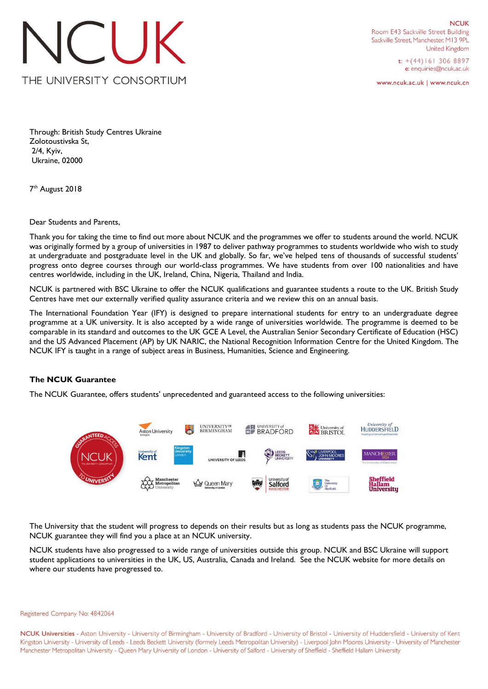

**NCUK** Room E43 Sackville Street Building Sackville Street, Manchester, M13 9PL **United Kingdom** 

> $t$ : +(44)161 306 8897 e: enquiries@ncuk.ac.uk

www.ncuk.ac.uk | www.ncuk.cn

Through: British Study Centres Ukraine Zolotoustivska St, 2/4, Kyiv, Ukraine, 02000

7<sup>th</sup> August 2018

Dear Students and Parents,

Thank you for taking the time to find out more about NCUK and the programmes we offer to students around the world. NCUK was originally formed by a group of universities in 1987 to deliver pathway programmes to students worldwide who wish to study at undergraduate and postgraduate level in the UK and globally. So far, we've helped tens of thousands of successful students' progress onto degree courses through our world-class programmes. We have students from over 100 nationalities and have centres worldwide, including in the UK, Ireland, China, Nigeria, Thailand and India.

NCUK is partnered with BSC Ukraine to offer the NCUK qualifications and guarantee students a route to the UK. British Study Centres have met our externally verified quality assurance criteria and we review this on an annual basis.

The International Foundation Year (IFY) is designed to prepare international students for entry to an undergraduate degree programme at a UK university. It is also accepted by a wide range of universities worldwide. The programme is deemed to be comparable in its standard and outcomes to the UK GCE A Level, the Australian Senior Secondary Certificate of Education (HSC) and the US Advanced Placement (AP) by UK NARIC, the National Recognition Information Centre for the United Kingdom. The NCUK IFY is taught in a range of subject areas in Business, Humanities, Science and Engineering.

## **The NCUK Guarantee**

The NCUK Guarantee, offers students' unprecedented and guaranteed access to the following universities:



The University that the student will progress to depends on their results but as long as students pass the NCUK programme, NCUK guarantee they will find you a place at an NCUK university.

NCUK students have also progressed to a wide range of universities outside this group. NCUK and BSC Ukraine will support student applications to universities in the UK, US, Australia, Canada and Ireland. See the NCUK website for more details on where our students have progressed to.

## Registered Company No: 4842064

NCUK Universities - Aston University - University of Birmingham - University of Bradford - University of Bristol - University of Huddersfield - University of Kent Kingston University - University of Leeds - Leeds Beckett University (formely Leeds Metropolitan University) - Liverpool John Moores University - University of Manchester Manchester Metropolitan University - Queen Mary University of London - University of Salford - University of Sheffield - Sheffield Hallam University